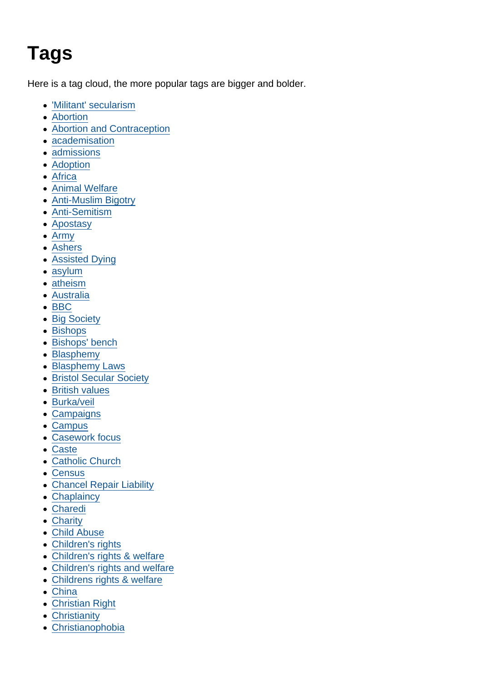## Tags

Here is a tag cloud, the more popular tags are bigger and bolder.

- ['Militant' secularism](https://www.secularism.org.uk/opinion/tags/)
- [Abortion](https://www.secularism.org.uk/opinion/tags/Abortion)
- [Abortion and Contraception](https://www.secularism.org.uk/opinion/tags/Abortion+and+Contraception)
- [academisation](https://www.secularism.org.uk/opinion/tags/academisation)
- [admissions](https://www.secularism.org.uk/opinion/tags/admissions)
- [Adoption](https://www.secularism.org.uk/opinion/tags/Adoption)
- [Africa](https://www.secularism.org.uk/opinion/tags/Africa)
- [Animal Welfare](https://www.secularism.org.uk/opinion/tags/Animal+Welfare)
- [Anti-Muslim Bigotry](https://www.secularism.org.uk/opinion/tags/Anti-Muslim+Bigotry)
- [Anti-Semitism](https://www.secularism.org.uk/opinion/tags/Anti-Semitism)
- [Apostasy](https://www.secularism.org.uk/opinion/tags/Apostasy)
- [Army](https://www.secularism.org.uk/opinion/tags/Army)
- [Ashers](https://www.secularism.org.uk/opinion/tags/Ashers)
- [Assisted Dying](https://www.secularism.org.uk/opinion/tags/Assisted+Dying)
- [asylum](https://www.secularism.org.uk/opinion/tags/asylum)
- [atheism](https://www.secularism.org.uk/opinion/tags/atheism)
- [Australia](https://www.secularism.org.uk/opinion/tags/Australia)
- $\bullet$  [BBC](https://www.secularism.org.uk/opinion/tags/BBC)
- [Big Society](https://www.secularism.org.uk/opinion/tags/Big+Society)
- [Bishops](https://www.secularism.org.uk/opinion/tags/Bishops)
- [Bishops' bench](https://www.secularism.org.uk/opinion/tags/Bishops)
- [Blasphemy](https://www.secularism.org.uk/opinion/tags/Blasphemy)
- [Blasphemy Laws](https://www.secularism.org.uk/opinion/tags/Blasphemy+Laws)
- [Bristol Secular Society](https://www.secularism.org.uk/opinion/tags/Bristol+Secular+Society)
- [British values](https://www.secularism.org.uk/opinion/tags/British+values)
- [Burka/veil](https://www.secularism.org.uk/opinion/tags/Burka/veil)
- [Campaigns](https://www.secularism.org.uk/opinion/tags/Campaigns)
- [Campus](https://www.secularism.org.uk/opinion/tags/Campus)
- [Casework focus](https://www.secularism.org.uk/opinion/tags/Casework+focus)
- [Caste](https://www.secularism.org.uk/opinion/tags/Caste)
- [Catholic Church](https://www.secularism.org.uk/opinion/tags/Catholic+Church)
- [Census](https://www.secularism.org.uk/opinion/tags/Census)
- [Chancel Repair Liability](https://www.secularism.org.uk/opinion/tags/Chancel+Repair+Liability)
- [Chaplaincy](https://www.secularism.org.uk/opinion/tags/Chaplaincy)
- [Charedi](https://www.secularism.org.uk/opinion/tags/Charedi)
- [Charity](https://www.secularism.org.uk/opinion/tags/Charity)
- [Child Abuse](https://www.secularism.org.uk/opinion/tags/Child+Abuse)
- [Children's rights](https://www.secularism.org.uk/opinion/tags/Children)
- [Children's rights & welfare](https://www.secularism.org.uk/opinion/tags/Children)
- [Children's rights and welfare](https://www.secularism.org.uk/opinion/tags/Children)
- [Childrens rights & welfare](https://www.secularism.org.uk/opinion/tags/Childrens+rights+&+welfare)
- [China](https://www.secularism.org.uk/opinion/tags/China)
- [Christian Right](https://www.secularism.org.uk/opinion/tags/Christian+Right)
- **[Christianity](https://www.secularism.org.uk/opinion/tags/Christianity)**
- [Christianophobia](https://www.secularism.org.uk/opinion/tags/Christianophobia)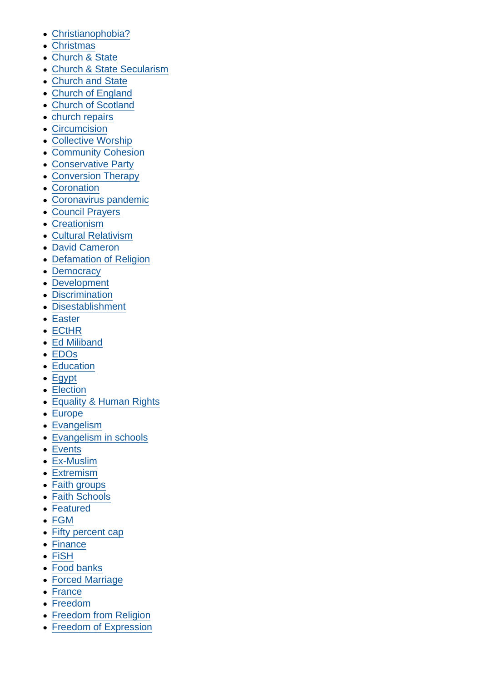- [Christianophobia?](https://www.secularism.org.uk/opinion/tags/Christianophobia﻿)
- [Christmas](https://www.secularism.org.uk/opinion/tags/Christmas)
- [Church & State](https://www.secularism.org.uk/opinion/tags/Church+&+State)
- [Church & State Secularism](https://www.secularism.org.uk/opinion/tags/Church+&+State+Secularism)
- [Church and State](https://www.secularism.org.uk/opinion/tags/Church+and+State)
- [Church of England](https://www.secularism.org.uk/opinion/tags/Church+of+England)
- [Church of Scotland](https://www.secularism.org.uk/opinion/tags/Church+of+Scotland)
- [church repairs](https://www.secularism.org.uk/opinion/tags/church+repairs)
- [Circumcision](https://www.secularism.org.uk/opinion/tags/Circumcision)
- [Collective Worship](https://www.secularism.org.uk/opinion/tags/Collective+Worship)
- [Community Cohesion](https://www.secularism.org.uk/opinion/tags/Community+Cohesion)
- [Conservative Party](https://www.secularism.org.uk/opinion/tags/Conservative+Party)
- [Conversion Therapy](https://www.secularism.org.uk/opinion/tags/Conversion+Therapy)
- [Coronation](https://www.secularism.org.uk/opinion/tags/Coronation)
- [Coronavirus pandemic](https://www.secularism.org.uk/opinion/tags/Coronavirus+pandemic)
- [Council Prayers](https://www.secularism.org.uk/opinion/tags/Council+Prayers)
- [Creationism](https://www.secularism.org.uk/opinion/tags/Creationism)
- [Cultural Relativism](https://www.secularism.org.uk/opinion/tags/Cultural+Relativism)
- [David Cameron](https://www.secularism.org.uk/opinion/tags/David+Cameron)
- [Defamation of Religion](https://www.secularism.org.uk/opinion/tags/Defamation+of+Religion)
- [Democracy](https://www.secularism.org.uk/opinion/tags/Democracy)
- **[Development](https://www.secularism.org.uk/opinion/tags/Development)**
- **[Discrimination](https://www.secularism.org.uk/opinion/tags/Discrimination)**
- [Disestablishment](https://www.secularism.org.uk/opinion/tags/Disestablishment)
- [Easter](https://www.secularism.org.uk/opinion/tags/Easter)
- [ECtHR](https://www.secularism.org.uk/opinion/tags/ECtHR)
- [Ed Miliband](https://www.secularism.org.uk/opinion/tags/Ed+Miliband)
- [EDOs](https://www.secularism.org.uk/opinion/tags/EDOs)
- [Education](https://www.secularism.org.uk/opinion/tags/Education)
- [Egypt](https://www.secularism.org.uk/opinion/tags/Egypt)
- [Election](https://www.secularism.org.uk/opinion/tags/Election)
- [Equality & Human Rights](https://www.secularism.org.uk/opinion/tags/Equality+&+Human+Rights)
- [Europe](https://www.secularism.org.uk/opinion/tags/Europe)
- [Evangelism](https://www.secularism.org.uk/opinion/tags/Evangelism)
- [Evangelism in schools](https://www.secularism.org.uk/opinion/tags/Evangelism+in+schools)
- [Events](https://www.secularism.org.uk/opinion/tags/Events)
- [Ex-Muslim](https://www.secularism.org.uk/opinion/tags/Ex-Muslim)
- [Extremism](https://www.secularism.org.uk/opinion/tags/Extremism)
- [Faith groups](https://www.secularism.org.uk/opinion/tags/Faith+groups)
- [Faith Schools](https://www.secularism.org.uk/opinion/tags/Faith+Schools)
- [Featured](https://www.secularism.org.uk/opinion/tags/Featured)
- [FGM](https://www.secularism.org.uk/opinion/tags/FGM)
- [Fifty percent cap](https://www.secularism.org.uk/opinion/tags/Fifty+percent+cap)
- [Finance](https://www.secularism.org.uk/opinion/tags/Finance)
- [FiSH](https://www.secularism.org.uk/opinion/tags/FiSH)
- [Food banks](https://www.secularism.org.uk/opinion/tags/Food+banks)
- [Forced Marriage](https://www.secularism.org.uk/opinion/tags/Forced+Marriage)
- [France](https://www.secularism.org.uk/opinion/tags/France)
- [Freedom](https://www.secularism.org.uk/opinion/tags/Freedom)
- [Freedom from Religion](https://www.secularism.org.uk/opinion/tags/Freedom+from+Religion)
- [Freedom of Expression](https://www.secularism.org.uk/opinion/tags/Freedom+of+Expression)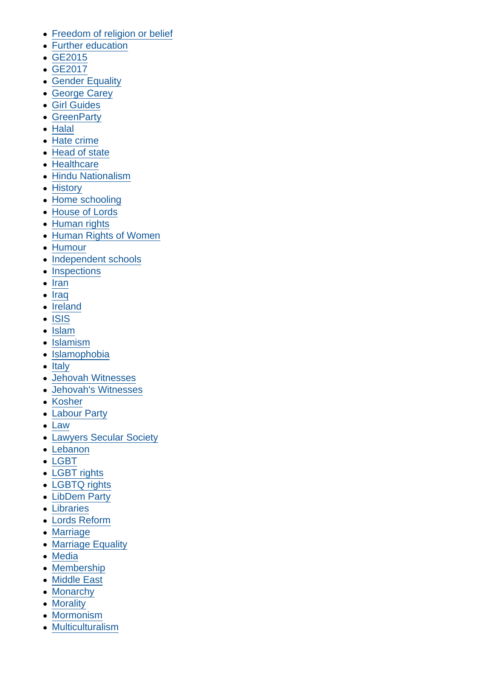- [Freedom of religion or belief](https://www.secularism.org.uk/opinion/tags/Freedom+of+religion+or+belief)
- [Further education](https://www.secularism.org.uk/opinion/tags/Further+education)
- [GE2015](https://www.secularism.org.uk/opinion/tags/GE2015)
- [GE2017](https://www.secularism.org.uk/opinion/tags/GE2017)
- [Gender Equality](https://www.secularism.org.uk/opinion/tags/Gender+Equality)
- [George Carey](https://www.secularism.org.uk/opinion/tags/George+Carey)
- [Girl Guides](https://www.secularism.org.uk/opinion/tags/Girl+Guides)
- [GreenParty](https://www.secularism.org.uk/opinion/tags/GreenParty)
- [Halal](https://www.secularism.org.uk/opinion/tags/Halal)
- [Hate crime](https://www.secularism.org.uk/opinion/tags/Hate+crime)
- [Head of state](https://www.secularism.org.uk/opinion/tags/Head+of+state)
- [Healthcare](https://www.secularism.org.uk/opinion/tags/Healthcare)
- [Hindu Nationalism](https://www.secularism.org.uk/opinion/tags/Hindu+Nationalism)
- [History](https://www.secularism.org.uk/opinion/tags/History)
- [Home schooling](https://www.secularism.org.uk/opinion/tags/Home+schooling)
- [House of Lords](https://www.secularism.org.uk/opinion/tags/House+of+Lords)
- [Human rights](https://www.secularism.org.uk/opinion/tags/Human+rights)
- [Human Rights of Women](https://www.secularism.org.uk/opinion/tags/Human+Rights+of+Women)
- [Humour](https://www.secularism.org.uk/opinion/tags/Humour)
- [Independent schools](https://www.secularism.org.uk/opinion/tags/Independent+schools)
- [Inspections](https://www.secularism.org.uk/opinion/tags/Inspections)
- $\bullet$  [Iran](https://www.secularism.org.uk/opinion/tags/Iran)
- [Iraq](https://www.secularism.org.uk/opinion/tags/Iraq)  $\bullet$
- [Ireland](https://www.secularism.org.uk/opinion/tags/Ireland)
- [ISIS](https://www.secularism.org.uk/opinion/tags/ISIS)
- [Islam](https://www.secularism.org.uk/opinion/tags/Islam)
- [Islamism](https://www.secularism.org.uk/opinion/tags/Islamism)
- [Islamophobia](https://www.secularism.org.uk/opinion/tags/Islamophobia)
- [Italy](https://www.secularism.org.uk/opinion/tags/Italy)
- [Jehovah Witnesses](https://www.secularism.org.uk/opinion/tags/Jehovah+Witnesses)
- [Jehovah's Witnesses](https://www.secularism.org.uk/opinion/tags/Jehovah)
- [Kosher](https://www.secularism.org.uk/opinion/tags/Kosher)
- [Labour Party](https://www.secularism.org.uk/opinion/tags/Labour+Party)
- [Law](https://www.secularism.org.uk/opinion/tags/Law)
- [Lawyers Secular Society](https://www.secularism.org.uk/opinion/tags/Lawyers+Secular+Society)
- [Lebanon](https://www.secularism.org.uk/opinion/tags/Lebanon)
- [LGBT](https://www.secularism.org.uk/opinion/tags/LGBT)
- [LGBT rights](https://www.secularism.org.uk/opinion/tags/LGBT+rights)
- [LGBTQ rights](https://www.secularism.org.uk/opinion/tags/LGBTQ+rights)
- [LibDem Party](https://www.secularism.org.uk/opinion/tags/LibDem+Party)
- [Libraries](https://www.secularism.org.uk/opinion/tags/Libraries)
- [Lords Reform](https://www.secularism.org.uk/opinion/tags/Lords+Reform)
- [Marriage](https://www.secularism.org.uk/opinion/tags/Marriage)
- [Marriage Equality](https://www.secularism.org.uk/opinion/tags/Marriage+Equality)
- [Media](https://www.secularism.org.uk/opinion/tags/Media)
- [Membership](https://www.secularism.org.uk/opinion/tags/Membership)
- [Middle East](https://www.secularism.org.uk/opinion/tags/Middle+East)
- [Monarchy](https://www.secularism.org.uk/opinion/tags/Monarchy)
- [Morality](https://www.secularism.org.uk/opinion/tags/Morality)
- [Mormonism](https://www.secularism.org.uk/opinion/tags/Mormonism)
- [Multiculturalism](https://www.secularism.org.uk/opinion/tags/Multiculturalism)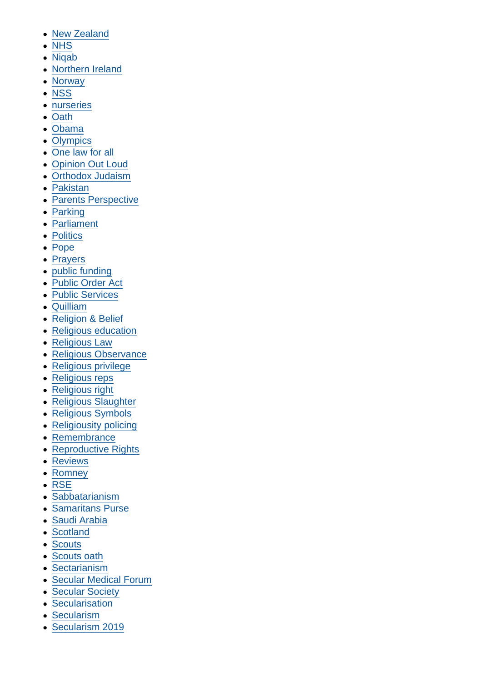- [New Zealand](https://www.secularism.org.uk/opinion/tags/New+Zealand)
- [NHS](https://www.secularism.org.uk/opinion/tags/NHS)
- [Niqab](https://www.secularism.org.uk/opinion/tags/Niqab)
- [Northern Ireland](https://www.secularism.org.uk/opinion/tags/Northern+Ireland)
- [Norway](https://www.secularism.org.uk/opinion/tags/Norway)
- [NSS](https://www.secularism.org.uk/opinion/tags/NSS)
- [nurseries](https://www.secularism.org.uk/opinion/tags/nurseries)
- [Oath](https://www.secularism.org.uk/opinion/tags/Oath)
- [Obama](https://www.secularism.org.uk/opinion/tags/Obama)
- [Olympics](https://www.secularism.org.uk/opinion/tags/Olympics)
- [One law for all](https://www.secularism.org.uk/opinion/tags/One+law+for+all)
- [Opinion Out Loud](https://www.secularism.org.uk/opinion/tags/Opinion+Out+Loud)
- [Orthodox Judaism](https://www.secularism.org.uk/opinion/tags/Orthodox+Judaism)
- [Pakistan](https://www.secularism.org.uk/opinion/tags/Pakistan)
- [Parents Perspective](https://www.secularism.org.uk/opinion/tags/Parents+Perspective)
- [Parking](https://www.secularism.org.uk/opinion/tags/Parking)
- [Parliament](https://www.secularism.org.uk/opinion/tags/Parliament)
- [Politics](https://www.secularism.org.uk/opinion/tags/Politics)
- [Pope](https://www.secularism.org.uk/opinion/tags/Pope)
- [Prayers](https://www.secularism.org.uk/opinion/tags/Prayers)
- [public funding](https://www.secularism.org.uk/opinion/tags/public+funding)
- [Public Order Act](https://www.secularism.org.uk/opinion/tags/Public+Order+Act)
- [Public Services](https://www.secularism.org.uk/opinion/tags/Public+Services)
- [Quilliam](https://www.secularism.org.uk/opinion/tags/Quilliam)
- [Religion & Belief](https://www.secularism.org.uk/opinion/tags/Religion+&+Belief)
- [Religious education](https://www.secularism.org.uk/opinion/tags/Religious+education)
- [Religious Law](https://www.secularism.org.uk/opinion/tags/Religious+Law)
- [Religious Observance](https://www.secularism.org.uk/opinion/tags/Religious+Observance)
- [Religious privilege](https://www.secularism.org.uk/opinion/tags/Religious+privilege)
- [Religious reps](https://www.secularism.org.uk/opinion/tags/Religious+reps)
- [Religious right](https://www.secularism.org.uk/opinion/tags/Religious+right)
- [Religious Slaughter](https://www.secularism.org.uk/opinion/tags/Religious+Slaughter)
- [Religious Symbols](https://www.secularism.org.uk/opinion/tags/Religious+Symbols)
- [Religiousity policing](https://www.secularism.org.uk/opinion/tags/Religiousity+policing)
- [Remembrance](https://www.secularism.org.uk/opinion/tags/Remembrance)
- [Reproductive Rights](https://www.secularism.org.uk/opinion/tags/Reproductive+Rights)
- [Reviews](https://www.secularism.org.uk/opinion/tags/Reviews)
- [Romney](https://www.secularism.org.uk/opinion/tags/Romney)
- [RSE](https://www.secularism.org.uk/opinion/tags/RSE)
- [Sabbatarianism](https://www.secularism.org.uk/opinion/tags/Sabbatarianism)
- [Samaritans Purse](https://www.secularism.org.uk/opinion/tags/Samaritans+Purse)
- [Saudi Arabia](https://www.secularism.org.uk/opinion/tags/Saudi+Arabia)
- [Scotland](https://www.secularism.org.uk/opinion/tags/Scotland)
- [Scouts](https://www.secularism.org.uk/opinion/tags/Scouts)
- [Scouts oath](https://www.secularism.org.uk/opinion/tags/Scouts+oath)
- [Sectarianism](https://www.secularism.org.uk/opinion/tags/Sectarianism)
- [Secular Medical Forum](https://www.secularism.org.uk/opinion/tags/Secular+Medical+Forum)
- [Secular Society](https://www.secularism.org.uk/opinion/tags/Secular+Society)
- **[Secularisation](https://www.secularism.org.uk/opinion/tags/Secularisation)**
- [Secularism](https://www.secularism.org.uk/opinion/tags/Secularism)
- [Secularism 2019](https://www.secularism.org.uk/opinion/tags/Secularism+2019)